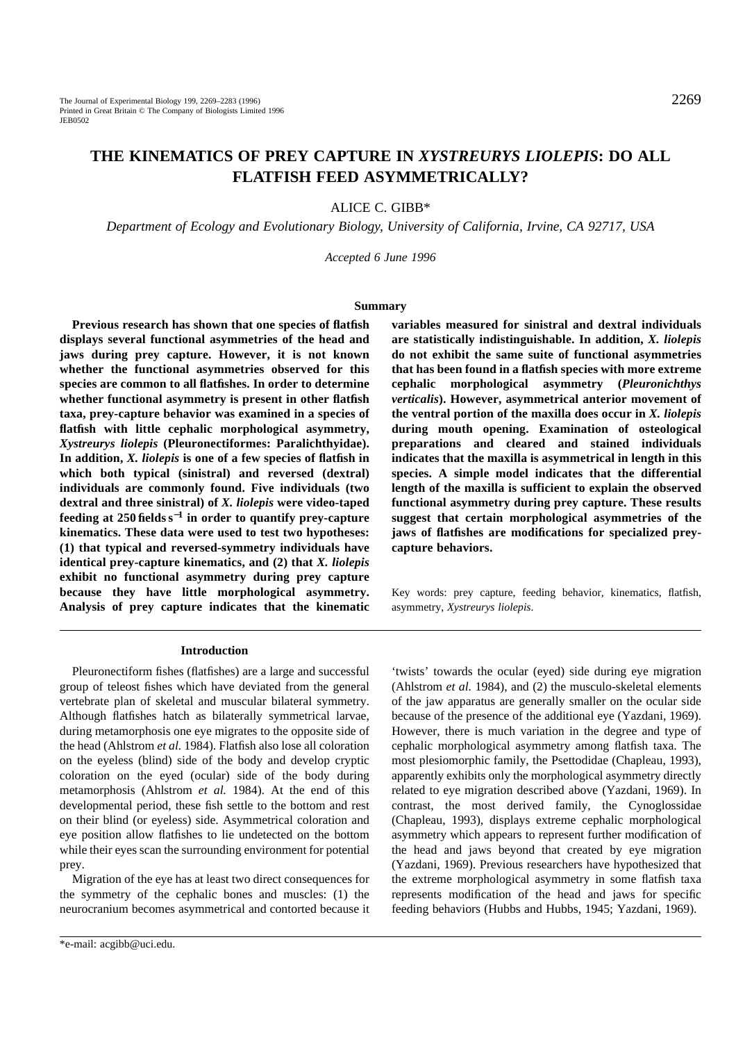## **THE KINEMATICS OF PREY CAPTURE IN** *XYSTREURYS LIOLEPIS***: DO ALL FLATFISH FEED ASYMMETRICALLY?**

ALICE C. GIBB\*

*Department of Ecology and Evolutionary Biology, University of California, Irvine, CA 92717, USA*

*Accepted 6 June 1996*

#### **Summary**

**Previous research has shown that one species of flatfish displays several functional asymmetries of the head and jaws during prey capture. However, it is not known whether the functional asymmetries observed for this species are common to all flatfishes. In order to determine whether functional asymmetry is present in other flatfish taxa, prey-capture behavior was examined in a species of flatfish with little cephalic morphological asymmetry,** *Xystreurys liolepis* **(Pleuronectiformes: Paralichthyidae). In addition,** *X. liolepis* **is one of a few species of flatfish in which both typical (sinistral) and reversed (dextral) individuals are commonly found. Five individuals (two dextral and three sinistral) of** *X. liolepis* **were video-taped feeding at 250 fields s**−**<sup>1</sup> in order to quantify prey-capture kinematics. These data were used to test two hypotheses: (1) that typical and reversed-symmetry individuals have identical prey-capture kinematics, and (2) that** *X. liolepis* **exhibit no functional asymmetry during prey capture because they have little morphological asymmetry. Analysis of prey capture indicates that the kinematic**

#### **Introduction**

Pleuronectiform fishes (flatfishes) are a large and successful group of teleost fishes which have deviated from the general vertebrate plan of skeletal and muscular bilateral symmetry. Although flatfishes hatch as bilaterally symmetrical larvae, during metamorphosis one eye migrates to the opposite side of the head (Ahlstrom *et al.* 1984). Flatfish also lose all coloration on the eyeless (blind) side of the body and develop cryptic coloration on the eyed (ocular) side of the body during metamorphosis (Ahlstrom *et al.* 1984). At the end of this developmental period, these fish settle to the bottom and rest on their blind (or eyeless) side. Asymmetrical coloration and eye position allow flatfishes to lie undetected on the bottom while their eyes scan the surrounding environment for potential prey.

Migration of the eye has at least two direct consequences for the symmetry of the cephalic bones and muscles: (1) the neurocranium becomes asymmetrical and contorted because it

**variables measured for sinistral and dextral individuals are statistically indistinguishable. In addition,** *X. liolepis* **do not exhibit the same suite of functional asymmetries that has been found in a flatfish species with more extreme cephalic morphological asymmetry (***Pleuronichthys verticalis***). However, asymmetrical anterior movement of the ventral portion of the maxilla does occur in** *X. liolepis* **during mouth opening. Examination of osteological preparations and cleared and stained individuals indicates that the maxilla is asymmetrical in length in this species. A simple model indicates that the differential length of the maxilla is sufficient to explain the observed functional asymmetry during prey capture. These results suggest that certain morphological asymmetries of the jaws of flatfishes are modifications for specialized preycapture behaviors.**

Key words: prey capture, feeding behavior, kinematics, flatfish, asymmetry, *Xystreurys liolepis*.

'twists' towards the ocular (eyed) side during eye migration (Ahlstrom *et al.* 1984), and (2) the musculo-skeletal elements of the jaw apparatus are generally smaller on the ocular side because of the presence of the additional eye (Yazdani, 1969). However, there is much variation in the degree and type of cephalic morphological asymmetry among flatfish taxa. The most plesiomorphic family, the Psettodidae (Chapleau, 1993), apparently exhibits only the morphological asymmetry directly related to eye migration described above (Yazdani, 1969). In contrast, the most derived family, the Cynoglossidae (Chapleau, 1993), displays extreme cephalic morphological asymmetry which appears to represent further modification of the head and jaws beyond that created by eye migration (Yazdani, 1969). Previous researchers have hypothesized that the extreme morphological asymmetry in some flatfish taxa represents modification of the head and jaws for specific feeding behaviors (Hubbs and Hubbs, 1945; Yazdani, 1969).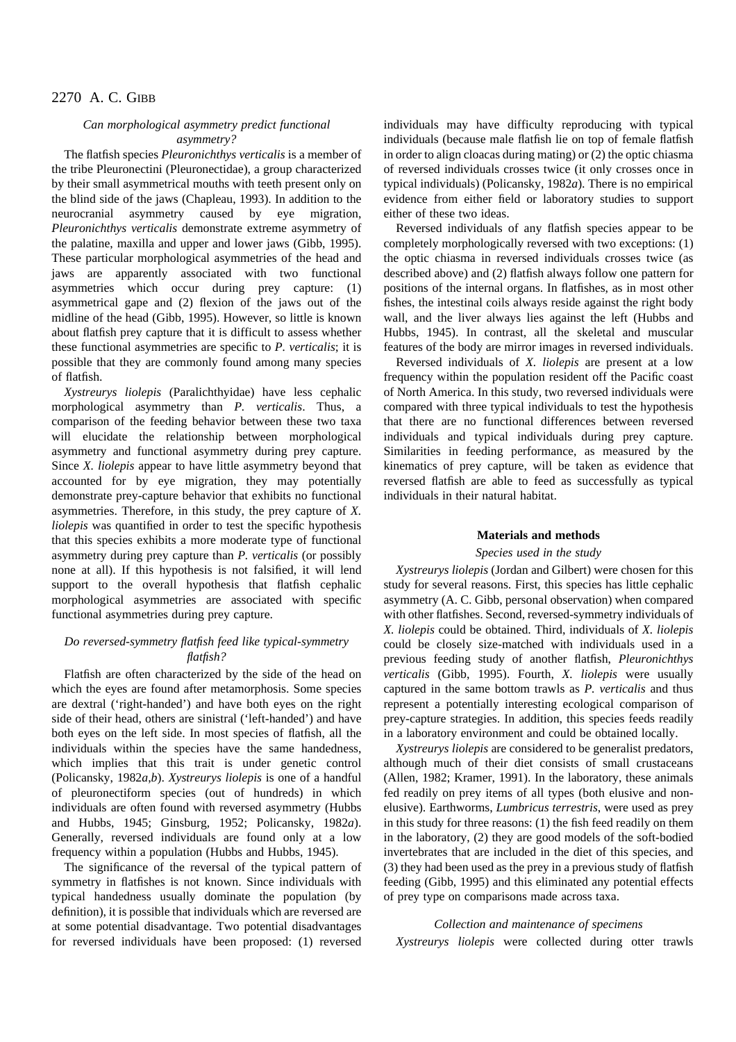## *Can morphological asymmetry predict functional asymmetry?*

The flatfish species *Pleuronichthys verticalis* is a member of the tribe Pleuronectini (Pleuronectidae), a group characterized by their small asymmetrical mouths with teeth present only on the blind side of the jaws (Chapleau, 1993). In addition to the neurocranial asymmetry caused by eye migration, *Pleuronichthys verticalis* demonstrate extreme asymmetry of the palatine, maxilla and upper and lower jaws (Gibb, 1995). These particular morphological asymmetries of the head and jaws are apparently associated with two functional asymmetries which occur during prey capture: (1) asymmetrical gape and (2) flexion of the jaws out of the midline of the head (Gibb, 1995). However, so little is known about flatfish prey capture that it is difficult to assess whether these functional asymmetries are specific to *P. verticalis*; it is possible that they are commonly found among many species of flatfish.

*Xystreurys liolepis* (Paralichthyidae) have less cephalic morphological asymmetry than *P. verticalis*. Thus, a comparison of the feeding behavior between these two taxa will elucidate the relationship between morphological asymmetry and functional asymmetry during prey capture. Since *X. liolepis* appear to have little asymmetry beyond that accounted for by eye migration, they may potentially demonstrate prey-capture behavior that exhibits no functional asymmetries. Therefore, in this study, the prey capture of *X. liolepis* was quantified in order to test the specific hypothesis that this species exhibits a more moderate type of functional asymmetry during prey capture than *P. verticalis* (or possibly none at all). If this hypothesis is not falsified, it will lend support to the overall hypothesis that flatfish cephalic morphological asymmetries are associated with specific functional asymmetries during prey capture.

## *Do reversed-symmetry flatfish feed like typical-symmetry flatfish?*

Flatfish are often characterized by the side of the head on which the eyes are found after metamorphosis. Some species are dextral ('right-handed') and have both eyes on the right side of their head, others are sinistral ('left-handed') and have both eyes on the left side. In most species of flatfish, all the individuals within the species have the same handedness, which implies that this trait is under genetic control (Policansky, 1982*a*,*b*). *Xystreurys liolepis* is one of a handful of pleuronectiform species (out of hundreds) in which individuals are often found with reversed asymmetry (Hubbs and Hubbs, 1945; Ginsburg, 1952; Policansky, 1982*a*). Generally, reversed individuals are found only at a low frequency within a population (Hubbs and Hubbs, 1945).

The significance of the reversal of the typical pattern of symmetry in flatfishes is not known. Since individuals with typical handedness usually dominate the population (by definition), it is possible that individuals which are reversed are at some potential disadvantage. Two potential disadvantages for reversed individuals have been proposed: (1) reversed individuals may have difficulty reproducing with typical individuals (because male flatfish lie on top of female flatfish in order to align cloacas during mating) or (2) the optic chiasma of reversed individuals crosses twice (it only crosses once in typical individuals) (Policansky, 1982*a*). There is no empirical evidence from either field or laboratory studies to support either of these two ideas.

Reversed individuals of any flatfish species appear to be completely morphologically reversed with two exceptions: (1) the optic chiasma in reversed individuals crosses twice (as described above) and (2) flatfish always follow one pattern for positions of the internal organs. In flatfishes, as in most other fishes, the intestinal coils always reside against the right body wall, and the liver always lies against the left (Hubbs and Hubbs, 1945). In contrast, all the skeletal and muscular features of the body are mirror images in reversed individuals.

Reversed individuals of *X. liolepis* are present at a low frequency within the population resident off the Pacific coast of North America. In this study, two reversed individuals were compared with three typical individuals to test the hypothesis that there are no functional differences between reversed individuals and typical individuals during prey capture. Similarities in feeding performance, as measured by the kinematics of prey capture, will be taken as evidence that reversed flatfish are able to feed as successfully as typical individuals in their natural habitat.

## **Materials and methods**

#### *Species used in the study*

*Xystreurys liolepis* (Jordan and Gilbert) were chosen for this study for several reasons. First, this species has little cephalic asymmetry (A. C. Gibb, personal observation) when compared with other flatfishes. Second, reversed-symmetry individuals of *X. liolepis* could be obtained. Third, individuals of *X. liolepis* could be closely size-matched with individuals used in a previous feeding study of another flatfish, *Pleuronichthys verticalis* (Gibb, 1995). Fourth, *X. liolepis* were usually captured in the same bottom trawls as *P. verticalis* and thus represent a potentially interesting ecological comparison of prey-capture strategies. In addition, this species feeds readily in a laboratory environment and could be obtained locally.

*Xystreurys liolepis* are considered to be generalist predators, although much of their diet consists of small crustaceans (Allen, 1982; Kramer, 1991). In the laboratory, these animals fed readily on prey items of all types (both elusive and nonelusive). Earthworms, *Lumbricus terrestris*, were used as prey in this study for three reasons: (1) the fish feed readily on them in the laboratory, (2) they are good models of the soft-bodied invertebrates that are included in the diet of this species, and (3) they had been used as the prey in a previous study of flatfish feeding (Gibb, 1995) and this eliminated any potential effects of prey type on comparisons made across taxa.

## *Collection and maintenance of specimens*

*Xystreurys liolepis* were collected during otter trawls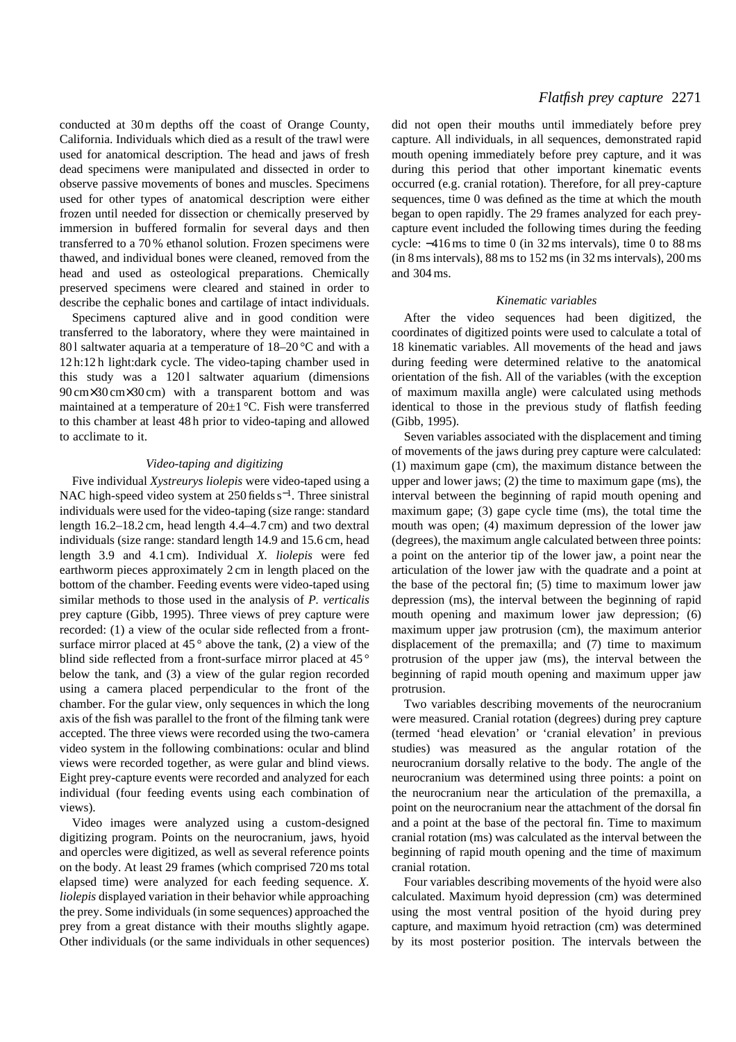conducted at 30 m depths off the coast of Orange County, California. Individuals which died as a result of the trawl were used for anatomical description. The head and jaws of fresh dead specimens were manipulated and dissected in order to observe passive movements of bones and muscles. Specimens used for other types of anatomical description were either frozen until needed for dissection or chemically preserved by immersion in buffered formalin for several days and then transferred to a 70 % ethanol solution. Frozen specimens were thawed, and individual bones were cleaned, removed from the head and used as osteological preparations. Chemically preserved specimens were cleared and stained in order to describe the cephalic bones and cartilage of intact individuals.

Specimens captured alive and in good condition were transferred to the laboratory, where they were maintained in 801 saltwater aquaria at a temperature of  $18-20$  °C and with a 12 h:12 h light:dark cycle. The video-taping chamber used in this study was a 1201 saltwater aquarium (dimensions 90 cm×30 cm×30 cm) with a transparent bottom and was maintained at a temperature of 20±1 °C. Fish were transferred to this chamber at least 48 h prior to video-taping and allowed to acclimate to it.

#### *Video-taping and digitizing*

Five individual *Xystreurys liolepis* were video-taped using a NAC high-speed video system at 250 fields s<sup>-1</sup>. Three sinistral individuals were used for the video-taping (size range: standard length 16.2–18.2 cm, head length 4.4–4.7 cm) and two dextral individuals (size range: standard length 14.9 and 15.6 cm, head length 3.9 and 4.1 cm). Individual *X. liolepis* were fed earthworm pieces approximately 2 cm in length placed on the bottom of the chamber. Feeding events were video-taped using similar methods to those used in the analysis of *P. verticalis* prey capture (Gibb, 1995). Three views of prey capture were recorded: (1) a view of the ocular side reflected from a frontsurface mirror placed at  $45^\circ$  above the tank, (2) a view of the blind side reflected from a front-surface mirror placed at 45<sup>°</sup> below the tank, and (3) a view of the gular region recorded using a camera placed perpendicular to the front of the chamber. For the gular view, only sequences in which the long axis of the fish was parallel to the front of the filming tank were accepted. The three views were recorded using the two-camera video system in the following combinations: ocular and blind views were recorded together, as were gular and blind views. Eight prey-capture events were recorded and analyzed for each individual (four feeding events using each combination of views).

Video images were analyzed using a custom-designed digitizing program. Points on the neurocranium, jaws, hyoid and opercles were digitized, as well as several reference points on the body. At least 29 frames (which comprised 720 ms total elapsed time) were analyzed for each feeding sequence. *X. liolepis* displayed variation in their behavior while approaching the prey. Some individuals (in some sequences) approached the prey from a great distance with their mouths slightly agape. Other individuals (or the same individuals in other sequences)

## *Flatfish prey capture* 2271

did not open their mouths until immediately before prey capture. All individuals, in all sequences, demonstrated rapid mouth opening immediately before prey capture, and it was during this period that other important kinematic events occurred (e.g. cranial rotation). Therefore, for all prey-capture sequences, time 0 was defined as the time at which the mouth began to open rapidly. The 29 frames analyzed for each preycapture event included the following times during the feeding cycle: −416 ms to time 0 (in 32 ms intervals), time 0 to 88 ms (in 8 ms intervals), 88 ms to 152 ms (in 32 ms intervals), 200 ms and 304 ms.

#### *Kinematic variables*

After the video sequences had been digitized, the coordinates of digitized points were used to calculate a total of 18 kinematic variables. All movements of the head and jaws during feeding were determined relative to the anatomical orientation of the fish. All of the variables (with the exception of maximum maxilla angle) were calculated using methods identical to those in the previous study of flatfish feeding (Gibb, 1995).

Seven variables associated with the displacement and timing of movements of the jaws during prey capture were calculated: (1) maximum gape (cm), the maximum distance between the upper and lower jaws; (2) the time to maximum gape (ms), the interval between the beginning of rapid mouth opening and maximum gape; (3) gape cycle time (ms), the total time the mouth was open; (4) maximum depression of the lower jaw (degrees), the maximum angle calculated between three points: a point on the anterior tip of the lower jaw, a point near the articulation of the lower jaw with the quadrate and a point at the base of the pectoral fin; (5) time to maximum lower jaw depression (ms), the interval between the beginning of rapid mouth opening and maximum lower jaw depression; (6) maximum upper jaw protrusion (cm), the maximum anterior displacement of the premaxilla; and (7) time to maximum protrusion of the upper jaw (ms), the interval between the beginning of rapid mouth opening and maximum upper jaw protrusion.

Two variables describing movements of the neurocranium were measured. Cranial rotation (degrees) during prey capture (termed 'head elevation' or 'cranial elevation' in previous studies) was measured as the angular rotation of the neurocranium dorsally relative to the body. The angle of the neurocranium was determined using three points: a point on the neurocranium near the articulation of the premaxilla, a point on the neurocranium near the attachment of the dorsal fin and a point at the base of the pectoral fin. Time to maximum cranial rotation (ms) was calculated as the interval between the beginning of rapid mouth opening and the time of maximum cranial rotation.

Four variables describing movements of the hyoid were also calculated. Maximum hyoid depression (cm) was determined using the most ventral position of the hyoid during prey capture, and maximum hyoid retraction (cm) was determined by its most posterior position. The intervals between the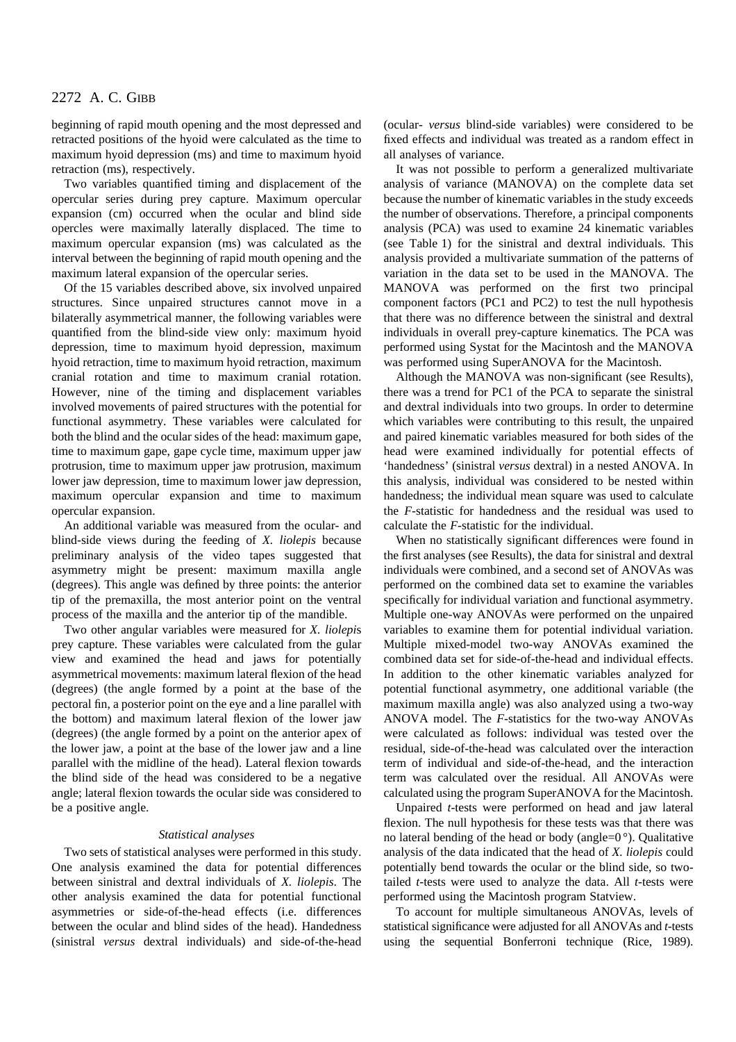beginning of rapid mouth opening and the most depressed and retracted positions of the hyoid were calculated as the time to maximum hyoid depression (ms) and time to maximum hyoid retraction (ms), respectively.

Two variables quantified timing and displacement of the opercular series during prey capture. Maximum opercular expansion (cm) occurred when the ocular and blind side opercles were maximally laterally displaced. The time to maximum opercular expansion (ms) was calculated as the interval between the beginning of rapid mouth opening and the maximum lateral expansion of the opercular series.

Of the 15 variables described above, six involved unpaired structures. Since unpaired structures cannot move in a bilaterally asymmetrical manner, the following variables were quantified from the blind-side view only: maximum hyoid depression, time to maximum hyoid depression, maximum hyoid retraction, time to maximum hyoid retraction, maximum cranial rotation and time to maximum cranial rotation. However, nine of the timing and displacement variables involved movements of paired structures with the potential for functional asymmetry. These variables were calculated for both the blind and the ocular sides of the head: maximum gape, time to maximum gape, gape cycle time, maximum upper jaw protrusion, time to maximum upper jaw protrusion, maximum lower jaw depression, time to maximum lower jaw depression, maximum opercular expansion and time to maximum opercular expansion.

An additional variable was measured from the ocular- and blind-side views during the feeding of *X. liolepis* because preliminary analysis of the video tapes suggested that asymmetry might be present: maximum maxilla angle (degrees). This angle was defined by three points: the anterior tip of the premaxilla, the most anterior point on the ventral process of the maxilla and the anterior tip of the mandible.

Two other angular variables were measured for *X. liolepi*s prey capture. These variables were calculated from the gular view and examined the head and jaws for potentially asymmetrical movements: maximum lateral flexion of the head (degrees) (the angle formed by a point at the base of the pectoral fin, a posterior point on the eye and a line parallel with the bottom) and maximum lateral flexion of the lower jaw (degrees) (the angle formed by a point on the anterior apex of the lower jaw, a point at the base of the lower jaw and a line parallel with the midline of the head). Lateral flexion towards the blind side of the head was considered to be a negative angle; lateral flexion towards the ocular side was considered to be a positive angle.

#### *Statistical analyses*

Two sets of statistical analyses were performed in this study. One analysis examined the data for potential differences between sinistral and dextral individuals of *X. liolepis*. The other analysis examined the data for potential functional asymmetries or side-of-the-head effects (i.e. differences between the ocular and blind sides of the head). Handedness (sinistral *versus* dextral individuals) and side-of-the-head (ocular- *versus* blind-side variables) were considered to be fixed effects and individual was treated as a random effect in all analyses of variance.

It was not possible to perform a generalized multivariate analysis of variance (MANOVA) on the complete data set because the number of kinematic variables in the study exceeds the number of observations. Therefore, a principal components analysis (PCA) was used to examine 24 kinematic variables (see Table 1) for the sinistral and dextral individuals. This analysis provided a multivariate summation of the patterns of variation in the data set to be used in the MANOVA. The MANOVA was performed on the first two principal component factors (PC1 and PC2) to test the null hypothesis that there was no difference between the sinistral and dextral individuals in overall prey-capture kinematics. The PCA was performed using Systat for the Macintosh and the MANOVA was performed using SuperANOVA for the Macintosh.

Although the MANOVA was non-significant (see Results), there was a trend for PC1 of the PCA to separate the sinistral and dextral individuals into two groups. In order to determine which variables were contributing to this result, the unpaired and paired kinematic variables measured for both sides of the head were examined individually for potential effects of 'handedness' (sinistral *versus* dextral) in a nested ANOVA. In this analysis, individual was considered to be nested within handedness; the individual mean square was used to calculate the *F*-statistic for handedness and the residual was used to calculate the *F*-statistic for the individual.

When no statistically significant differences were found in the first analyses (see Results), the data for sinistral and dextral individuals were combined, and a second set of ANOVAs was performed on the combined data set to examine the variables specifically for individual variation and functional asymmetry. Multiple one-way ANOVAs were performed on the unpaired variables to examine them for potential individual variation. Multiple mixed-model two-way ANOVAs examined the combined data set for side-of-the-head and individual effects. In addition to the other kinematic variables analyzed for potential functional asymmetry, one additional variable (the maximum maxilla angle) was also analyzed using a two-way ANOVA model. The *F*-statistics for the two-way ANOVAs were calculated as follows: individual was tested over the residual, side-of-the-head was calculated over the interaction term of individual and side-of-the-head, and the interaction term was calculated over the residual. All ANOVAs were calculated using the program SuperANOVA for the Macintosh.

Unpaired *t*-tests were performed on head and jaw lateral flexion. The null hypothesis for these tests was that there was no lateral bending of the head or body (angle= $0^{\circ}$ ). Qualitative analysis of the data indicated that the head of *X. liolepis* could potentially bend towards the ocular or the blind side, so twotailed *t*-tests were used to analyze the data. All *t*-tests were performed using the Macintosh program Statview.

To account for multiple simultaneous ANOVAs, levels of statistical significance were adjusted for all ANOVAs and *t*-tests using the sequential Bonferroni technique (Rice, 1989).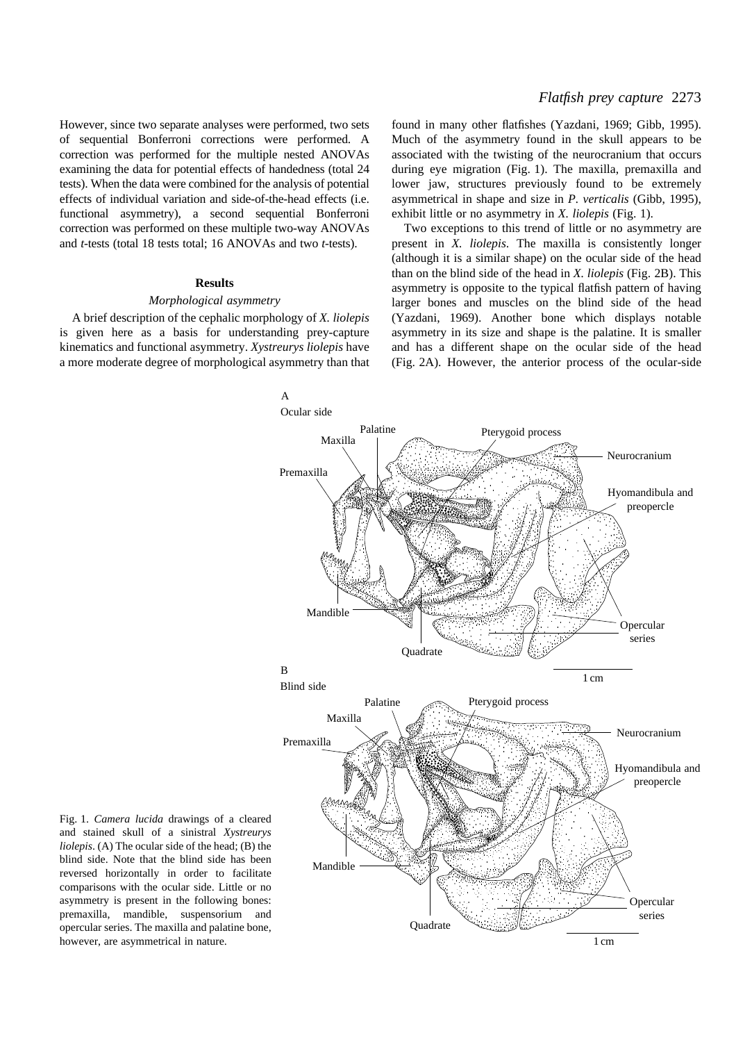## *Flatfish prey capture* 2273

However, since two separate analyses were performed, two sets of sequential Bonferroni corrections were performed. A correction was performed for the multiple nested ANOVAs examining the data for potential effects of handedness (total 24 tests). When the data were combined for the analysis of potential effects of individual variation and side-of-the-head effects (i.e. functional asymmetry), a second sequential Bonferroni correction was performed on these multiple two-way ANOVAs and *t*-tests (total 18 tests total; 16 ANOVAs and two *t*-tests).

## **Results**

#### *Morphological asymmetry*

A brief description of the cephalic morphology of *X. liolepis* is given here as a basis for understanding prey-capture kinematics and functional asymmetry. *Xystreurys liolepis* have a more moderate degree of morphological asymmetry than that

found in many other flatfishes (Yazdani, 1969; Gibb, 1995). Much of the asymmetry found in the skull appears to be associated with the twisting of the neurocranium that occurs during eye migration (Fig. 1). The maxilla, premaxilla and lower jaw, structures previously found to be extremely asymmetrical in shape and size in *P. verticalis* (Gibb, 1995), exhibit little or no asymmetry in *X. liolepis* (Fig. 1).

Two exceptions to this trend of little or no asymmetry are present in *X. liolepis*. The maxilla is consistently longer (although it is a similar shape) on the ocular side of the head than on the blind side of the head in *X. liolepis* (Fig. 2B). This asymmetry is opposite to the typical flatfish pattern of having larger bones and muscles on the blind side of the head (Yazdani, 1969). Another bone which displays notable asymmetry in its size and shape is the palatine. It is smaller and has a different shape on the ocular side of the head (Fig. 2A). However, the anterior process of the ocular-side



Fig. 1. *Camera lucida* drawings of a cleared and stained skull of a sinistral *Xystreurys liolepis*. (A) The ocular side of the head; (B) the blind side. Note that the blind side has been reversed horizontally in order to facilitate comparisons with the ocular side. Little or no asymmetry is present in the following bones: premaxilla, mandible, suspensorium and opercular series. The maxilla and palatine bone, however, are asymmetrical in nature.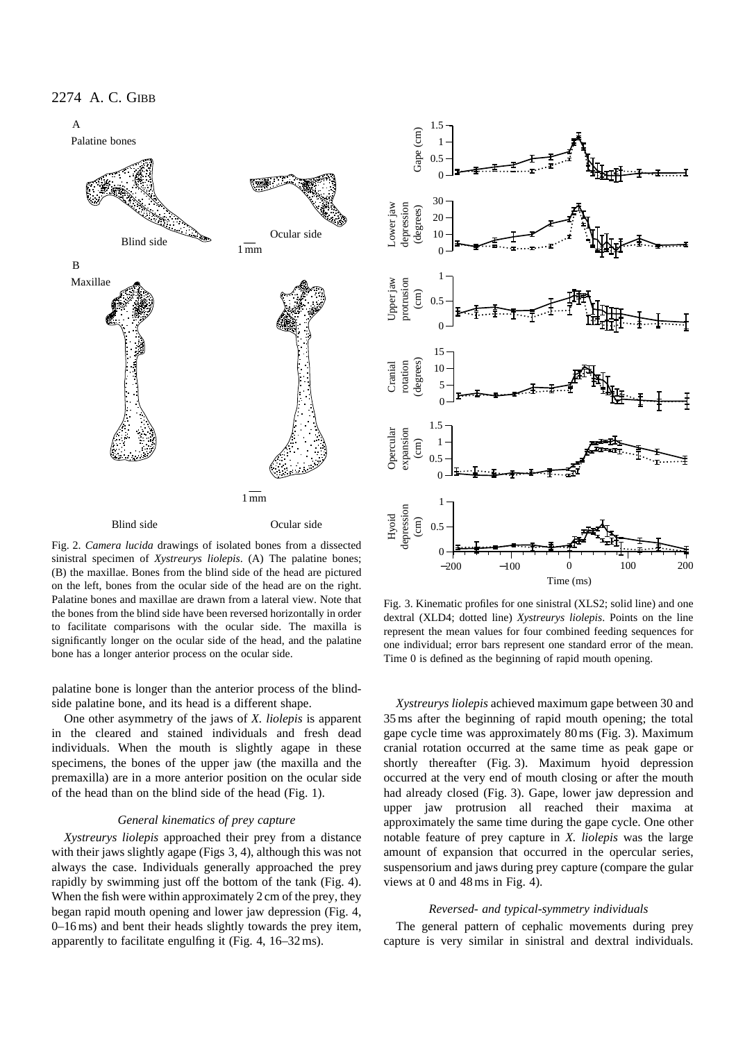

Fig. 2. *Camera lucida* drawings of isolated bones from a dissected sinistral specimen of *Xystreurys liolepis*. (A) The palatine bones; (B) the maxillae. Bones from the blind side of the head are pictured on the left, bones from the ocular side of the head are on the right. Palatine bones and maxillae are drawn from a lateral view. Note that the bones from the blind side have been reversed horizontally in order to facilitate comparisons with the ocular side. The maxilla is significantly longer on the ocular side of the head, and the palatine bone has a longer anterior process on the ocular side.

palatine bone is longer than the anterior process of the blindside palatine bone, and its head is a different shape.

One other asymmetry of the jaws of *X. liolepis* is apparent in the cleared and stained individuals and fresh dead individuals. When the mouth is slightly agape in these specimens, the bones of the upper jaw (the maxilla and the premaxilla) are in a more anterior position on the ocular side of the head than on the blind side of the head (Fig. 1).

#### *General kinematics of prey capture*

*Xystreurys liolepis* approached their prey from a distance with their jaws slightly agape (Figs 3, 4), although this was not always the case. Individuals generally approached the prey rapidly by swimming just off the bottom of the tank (Fig. 4). When the fish were within approximately 2 cm of the prey, they began rapid mouth opening and lower jaw depression (Fig. 4, 0–16 ms) and bent their heads slightly towards the prey item, apparently to facilitate engulfing it (Fig. 4, 16–32 ms).



Fig. 3. Kinematic profiles for one sinistral (XLS2; solid line) and one dextral (XLD4; dotted line) *Xystreurys liolepis*. Points on the line represent the mean values for four combined feeding sequences for one individual; error bars represent one standard error of the mean. Time 0 is defined as the beginning of rapid mouth opening.

*Xystreurys liolepis* achieved maximum gape between 30 and 35 ms after the beginning of rapid mouth opening; the total gape cycle time was approximately 80 ms (Fig. 3). Maximum cranial rotation occurred at the same time as peak gape or shortly thereafter (Fig. 3). Maximum hyoid depression occurred at the very end of mouth closing or after the mouth had already closed (Fig. 3). Gape, lower jaw depression and upper jaw protrusion all reached their maxima at approximately the same time during the gape cycle. One other notable feature of prey capture in *X. liolepis* was the large amount of expansion that occurred in the opercular series, suspensorium and jaws during prey capture (compare the gular views at 0 and 48 ms in Fig. 4).

#### *Reversed- and typical-symmetry individuals*

The general pattern of cephalic movements during prey capture is very similar in sinistral and dextral individuals.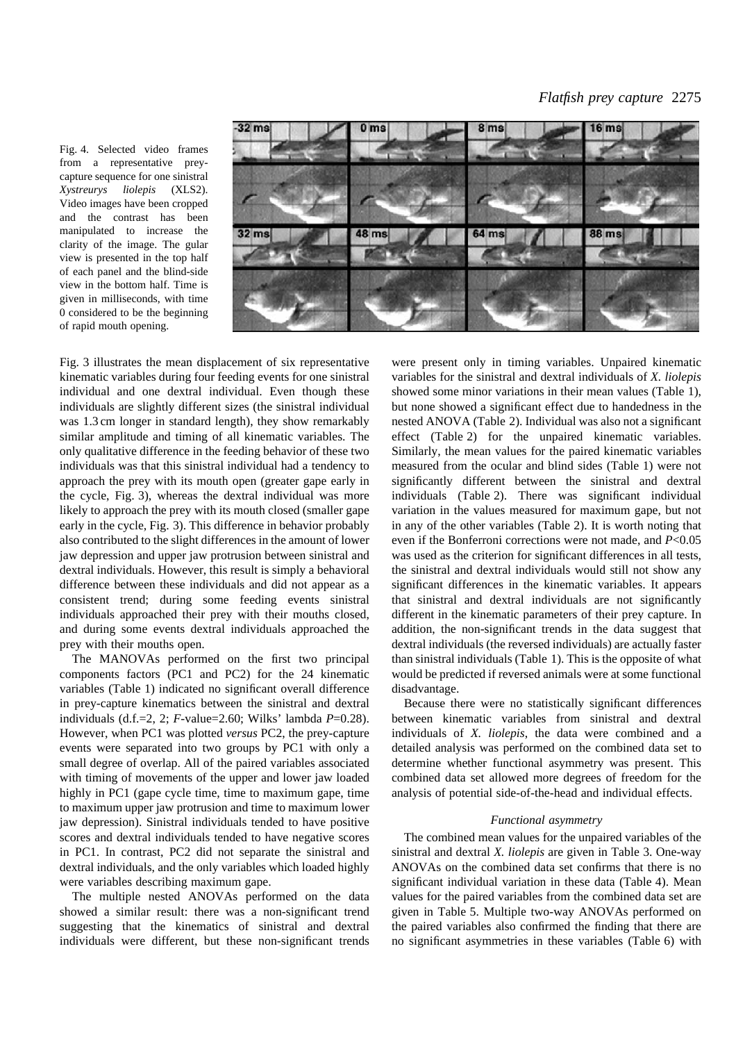Fig. 4. Selected video frames from a representative preycapture sequence for one sinistral *Xystreurys liolepis* (XLS2). Video images have been cropped and the contrast has been manipulated to increase the clarity of the image. The gular view is presented in the top half of each panel and the blind-side view in the bottom half. Time is given in milliseconds, with time 0 considered to be the beginning of rapid mouth opening.



Fig. 3 illustrates the mean displacement of six representative kinematic variables during four feeding events for one sinistral individual and one dextral individual. Even though these individuals are slightly different sizes (the sinistral individual was 1.3 cm longer in standard length), they show remarkably similar amplitude and timing of all kinematic variables. The only qualitative difference in the feeding behavior of these two individuals was that this sinistral individual had a tendency to approach the prey with its mouth open (greater gape early in the cycle, Fig. 3), whereas the dextral individual was more likely to approach the prey with its mouth closed (smaller gape) early in the cycle, Fig. 3). This difference in behavior probably also contributed to the slight differences in the amount of lower jaw depression and upper jaw protrusion between sinistral and dextral individuals. However, this result is simply a behavioral difference between these individuals and did not appear as a consistent trend; during some feeding events sinistral individuals approached their prey with their mouths closed, and during some events dextral individuals approached the prey with their mouths open.

The MANOVAs performed on the first two principal components factors (PC1 and PC2) for the 24 kinematic variables (Table 1) indicated no significant overall difference in prey-capture kinematics between the sinistral and dextral individuals (d.f.=2, 2; *F*-value=2.60; Wilks' lambda *P*=0.28). However, when PC1 was plotted *versus* PC2, the prey-capture events were separated into two groups by PC1 with only a small degree of overlap. All of the paired variables associated with timing of movements of the upper and lower jaw loaded highly in PC1 (gape cycle time, time to maximum gape, time to maximum upper jaw protrusion and time to maximum lower jaw depression). Sinistral individuals tended to have positive scores and dextral individuals tended to have negative scores in PC1. In contrast, PC2 did not separate the sinistral and dextral individuals, and the only variables which loaded highly were variables describing maximum gape.

The multiple nested ANOVAs performed on the data showed a similar result: there was a non-significant trend suggesting that the kinematics of sinistral and dextral individuals were different, but these non-significant trends

were present only in timing variables. Unpaired kinematic variables for the sinistral and dextral individuals of *X. liolepis* showed some minor variations in their mean values (Table 1), but none showed a significant effect due to handedness in the nested ANOVA (Table 2). Individual was also not a significant effect (Table 2) for the unpaired kinematic variables. Similarly, the mean values for the paired kinematic variables measured from the ocular and blind sides (Table 1) were not significantly different between the sinistral and dextral individuals (Table 2). There was significant individual variation in the values measured for maximum gape, but not in any of the other variables (Table 2). It is worth noting that even if the Bonferroni corrections were not made, and *P*<0.05 was used as the criterion for significant differences in all tests, the sinistral and dextral individuals would still not show any significant differences in the kinematic variables. It appears that sinistral and dextral individuals are not significantly different in the kinematic parameters of their prey capture. In addition, the non-significant trends in the data suggest that dextral individuals (the reversed individuals) are actually faster than sinistral individuals (Table 1). This is the opposite of what would be predicted if reversed animals were at some functional disadvantage.

Because there were no statistically significant differences between kinematic variables from sinistral and dextral individuals of *X. liolepis*, the data were combined and a detailed analysis was performed on the combined data set to determine whether functional asymmetry was present. This combined data set allowed more degrees of freedom for the analysis of potential side-of-the-head and individual effects.

#### *Functional asymmetry*

The combined mean values for the unpaired variables of the sinistral and dextral *X. liolepis* are given in Table 3. One-way ANOVAs on the combined data set confirms that there is no significant individual variation in these data (Table 4). Mean values for the paired variables from the combined data set are given in Table 5. Multiple two-way ANOVAs performed on the paired variables also confirmed the finding that there are no significant asymmetries in these variables (Table 6) with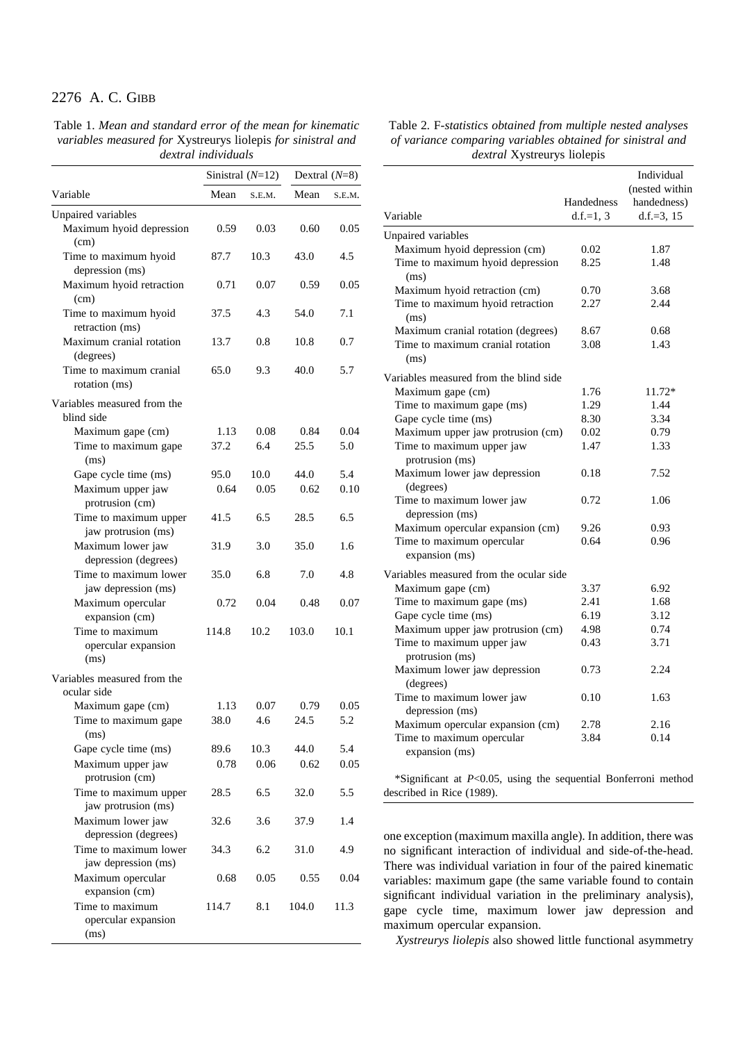Table 1. *Mean and standard error of the mean for kinematic variables measured for* Xystreurys liolepis *for sinistral and dextral individuals*

|                                                | Sinistral $(N=12)$ |        | Dextral $(N=8)$ |        |  |  |
|------------------------------------------------|--------------------|--------|-----------------|--------|--|--|
| Variable                                       | Mean               | S.E.M. | Mean            | S.E.M. |  |  |
| Unpaired variables                             |                    |        |                 |        |  |  |
| Maximum hyoid depression<br>(cm)               | 0.59               | 0.03   | 0.60            | 0.05   |  |  |
| Time to maximum hyoid<br>depression (ms)       | 87.7               | 10.3   | 43.0            | 4.5    |  |  |
| Maximum hyoid retraction<br>(cm)               | 0.71               | 0.07   | 0.59            | 0.05   |  |  |
| Time to maximum hyoid<br>retraction (ms)       | 37.5               | 4.3    | 54.0            | 7.1    |  |  |
| Maximum cranial rotation<br>(degrees)          | 13.7               | 0.8    | 10.8            | 0.7    |  |  |
| Time to maximum cranial<br>rotation (ms)       | 65.0               | 9.3    | 40.0            | 5.7    |  |  |
| Variables measured from the<br>blind side      |                    |        |                 |        |  |  |
| Maximum gape (cm)                              | 1.13               | 0.08   | 0.84            | 0.04   |  |  |
| Time to maximum gape<br>(ms)                   | 37.2               | 6.4    | 25.5            | 5.0    |  |  |
| Gape cycle time (ms)                           | 95.0               | 10.0   | 44.0            | 5.4    |  |  |
| Maximum upper jaw<br>protrusion (cm)           | 0.64               | 0.05   | 0.62            | 0.10   |  |  |
| Time to maximum upper<br>jaw protrusion (ms)   | 41.5               | 6.5    | 28.5            | 6.5    |  |  |
| Maximum lower jaw<br>depression (degrees)      | 31.9               | 3.0    | 35.0            | 1.6    |  |  |
| Time to maximum lower<br>jaw depression (ms)   | 35.0               | 6.8    | 7.0             | 4.8    |  |  |
| Maximum opercular<br>expansion (cm)            | 0.72               | 0.04   | 0.48            | 0.07   |  |  |
| Time to maximum<br>opercular expansion<br>(ms) | 114.8              | 10.2   | 103.0           | 10.1   |  |  |
| Variables measured from the<br>ocular side     |                    |        |                 |        |  |  |
| Maximum gape (cm)                              | 1.13               | 0.07   | 0.79            | 0.05   |  |  |
| Time to maximum gape<br>(ms)                   | 38.0               | 4.6    | 24.5            | 5.2    |  |  |
| Gape cycle time (ms)                           | 89.6               | 10.3   | 44.0            | 5.4    |  |  |
| Maximum upper jaw<br>protrusion (cm)           | 0.78               | 0.06   | 0.62            | 0.05   |  |  |
| Time to maximum upper<br>jaw protrusion (ms)   | 28.5               | 6.5    | 32.0            | 5.5    |  |  |
| Maximum lower jaw<br>depression (degrees)      | 32.6               | 3.6    | 37.9            | 1.4    |  |  |
| Time to maximum lower<br>jaw depression (ms)   | 34.3               | 6.2    | 31.0            | 4.9    |  |  |
| Maximum opercular<br>expansion (cm)            | 0.68               | 0.05   | 0.55            | 0.04   |  |  |
| Time to maximum<br>opercular expansion<br>(ms) | 114.7              | 8.1    | 104.0           | 11.3   |  |  |

| Table 2. F-statistics obtained from multiple nested analyses |
|--------------------------------------------------------------|
| of variance comparing variables obtained for sinistral and   |
| <i>dextral</i> Xystreurys liolepis                           |

|                                              | Handedness  | Individual<br>(nested within)<br>handedness) |
|----------------------------------------------|-------------|----------------------------------------------|
| Variable                                     | $d.f.=1, 3$ | $d.f.=3, 15$                                 |
| Unpaired variables                           |             |                                              |
| Maximum hyoid depression (cm)                | 0.02        | 1.87                                         |
| Time to maximum hyoid depression<br>(ms)     | 8.25        | 1.48                                         |
| Maximum hyoid retraction (cm)                | 0.70        | 3.68                                         |
| Time to maximum hyoid retraction<br>(ms)     | 2.27        | 2.44                                         |
| Maximum cranial rotation (degrees)           | 8.67        | 0.68                                         |
| Time to maximum cranial rotation<br>(ms)     | 3.08        | 1.43                                         |
| Variables measured from the blind side       |             |                                              |
| Maximum gape (cm)                            | 1.76        | 11.72*                                       |
| Time to maximum gape (ms)                    | 1.29        | 1.44                                         |
| Gape cycle time (ms)                         | 8.30        | 3.34                                         |
| Maximum upper jaw protrusion (cm)            | 0.02        | 0.79                                         |
| Time to maximum upper jaw<br>protrusion (ms) | 1.47        | 1.33                                         |
| Maximum lower jaw depression<br>(degrees)    | 0.18        | 7.52                                         |
| Time to maximum lower jaw<br>depression (ms) | 0.72        | 1.06                                         |
| Maximum opercular expansion (cm)             | 9.26        | 0.93                                         |
| Time to maximum opercular<br>expansion (ms)  | 0.64        | 0.96                                         |
| Variables measured from the ocular side      |             |                                              |
| Maximum gape (cm)                            | 3.37        | 6.92                                         |
| Time to maximum gape (ms)                    | 2.41        | 1.68                                         |
| Gape cycle time (ms)                         | 6.19        | 3.12                                         |
| Maximum upper jaw protrusion (cm)            | 4.98        | 0.74                                         |
| Time to maximum upper jaw<br>protrusion (ms) | 0.43        | 3.71                                         |
| Maximum lower jaw depression<br>(degrees)    | 0.73        | 2.24                                         |
| Time to maximum lower jaw<br>depression (ms) | 0.10        | 1.63                                         |
| Maximum opercular expansion (cm)             | 2.78        | 2.16                                         |
| Time to maximum opercular<br>expansion (ms)  | 3.84        | 0.14                                         |

\*Significant at *P*<0.05, using the sequential Bonferroni method described in Rice (1989).

one exception (maximum maxilla angle). In addition, there was no significant interaction of individual and side-of-the-head. There was individual variation in four of the paired kinematic variables: maximum gape (the same variable found to contain significant individual variation in the preliminary analysis), gape cycle time, maximum lower jaw depression and maximum opercular expansion.

*Xystreurys liolepis* also showed little functional asymmetry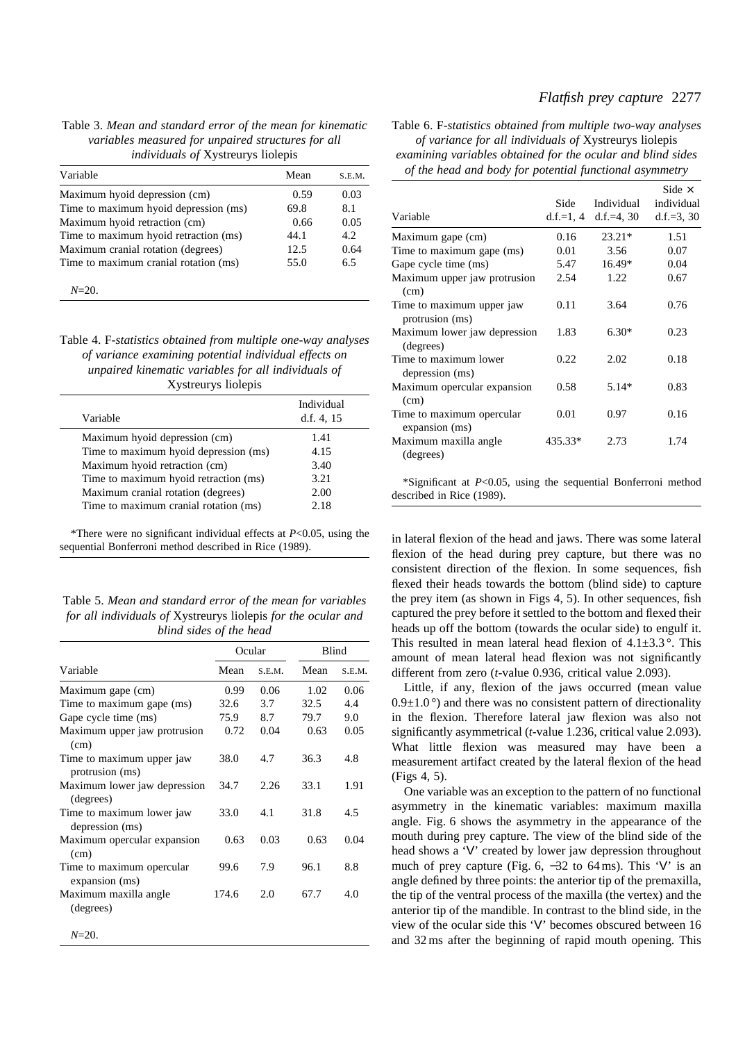## *Flatfish prey capture* 2277

## Table 3. *Mean and standard error of the mean for kinematic variables measured for unpaired structures for all individuals of* Xystreurys liolepis

| Variable                              | Mean | S.E.M. |
|---------------------------------------|------|--------|
| Maximum hyoid depression (cm)         | 0.59 | 0.03   |
| Time to maximum hyoid depression (ms) | 69.8 | 8.1    |
| Maximum hyoid retraction (cm)         | 0.66 | 0.05   |
| Time to maximum hyoid retraction (ms) | 44.1 | 4.2    |
| Maximum cranial rotation (degrees)    | 12.5 | 0.64   |
| Time to maximum cranial rotation (ms) | 55.0 | 6.5    |

*N*=20.

| Table 4. F-statistics obtained from multiple one-way analyses |
|---------------------------------------------------------------|
| of variance examining potential individual effects on         |
| unpaired kinematic variables for all individuals of           |
| Xystreurys liolepis                                           |

| Variable                              | Individual<br>d.f. $4, 15$ |
|---------------------------------------|----------------------------|
| Maximum hyoid depression (cm)         | 1.41                       |
| Time to maximum hyoid depression (ms) | 4.15                       |
| Maximum hyoid retraction (cm)         | 3.40                       |
| Time to maximum hyoid retraction (ms) | 3.21                       |
| Maximum cranial rotation (degrees)    | 2.00                       |
| Time to maximum cranial rotation (ms) | 2.18                       |

\*There were no significant individual effects at *P*<0.05, using the sequential Bonferroni method described in Rice (1989).

Table 5. *Mean and standard error of the mean for variables for all individuals of* Xystreurys liolepis *for the ocular and blind sides of the head*

|                                              | Ocular |        | Blind |        |
|----------------------------------------------|--------|--------|-------|--------|
| Variable                                     | Mean   | S.E.M. | Mean  | S.E.M. |
| Maximum gape (cm)                            | 0.99   | 0.06   | 1.02  | 0.06   |
| Time to maximum gape (ms)                    | 32.6   | 3.7    | 32.5  | 4.4    |
| Gape cycle time (ms)                         | 75.9   | 8.7    | 79.7  | 9.0    |
| Maximum upper jaw protrusion<br>(cm)         | 0.72   | 0.04   | 0.63  | 0.05   |
| Time to maximum upper jaw<br>protrusion (ms) | 38.0   | 4.7    | 36.3  | 4.8    |
| Maximum lower jaw depression<br>(degrees)    | 34.7   | 2.26   | 33.1  | 1.91   |
| Time to maximum lower jaw<br>depression (ms) | 33.0   | 4.1    | 31.8  | 4.5    |
| Maximum opercular expansion<br>(cm)          | 0.63   | 0.03   | 0.63  | 0.04   |
| Time to maximum opercular<br>expansion (ms)  | 99.6   | 7.9    | 96.1  | 8.8    |
| Maximum maxilla angle<br>(degrees)           | 174.6  | 2.0    | 67.7  | 4.0    |
| $N = 20.$                                    |        |        |       |        |

Table 6. F*-statistics obtained from multiple two-way analyses of variance for all individuals of* Xystreurys liolepis *examining variables obtained for the ocular and blind sides*

*of the head and body for potential functional asymmetry*

|                                              |         |                      | Side $\times$ |
|----------------------------------------------|---------|----------------------|---------------|
|                                              | Side    | Individual           | individual    |
| Variable                                     |         | d.f.=1, 4 d.f.=4, 30 | $d.f.=3, 30$  |
| Maximum gape (cm)                            | 0.16    | $23.21*$             | 1.51          |
| Time to maximum gape (ms)                    | 0.01    | 3.56                 | 0.07          |
| Gape cycle time (ms)                         | 5.47    | 16.49*               | 0.04          |
| Maximum upper jaw protrusion<br>(cm)         | 2.54    | 1.22                 | 0.67          |
| Time to maximum upper jaw<br>protrusion (ms) | 0.11    | 3.64                 | 0.76          |
| Maximum lower jaw depression<br>(degrees)    | 1.83    | $6.30*$              | 0.23          |
| Time to maximum lower<br>depression (ms)     | 0.22    | 2.02                 | 0.18          |
| Maximum opercular expansion<br>(cm)          | 0.58    | $5.14*$              | 0.83          |
| Time to maximum opercular<br>expansion (ms)  | 0.01    | 0.97                 | 0.16          |
| Maximum maxilla angle<br>(degrees)           | 435.33* | 2.73                 | 1.74          |

\*Significant at *P*<0.05, using the sequential Bonferroni method described in Rice (1989).

in lateral flexion of the head and jaws. There was some lateral flexion of the head during prey capture, but there was no consistent direction of the flexion. In some sequences, fish flexed their heads towards the bottom (blind side) to capture the prey item (as shown in Figs 4, 5). In other sequences, fish captured the prey before it settled to the bottom and flexed their heads up off the bottom (towards the ocular side) to engulf it. This resulted in mean lateral head flexion of  $4.1\pm3.3$ °. This amount of mean lateral head flexion was not significantly different from zero (*t*-value 0.936, critical value 2.093).

Little, if any, flexion of the jaws occurred (mean value  $0.9\pm1.0^\circ$  and there was no consistent pattern of directionality in the flexion. Therefore lateral jaw flexion was also not significantly asymmetrical (*t*-value 1.236, critical value 2.093). What little flexion was measured may have been a measurement artifact created by the lateral flexion of the head (Figs 4, 5).

One variable was an exception to the pattern of no functional asymmetry in the kinematic variables: maximum maxilla angle. Fig. 6 shows the asymmetry in the appearance of the mouth during prey capture. The view of the blind side of the head shows a 'V' created by lower jaw depression throughout much of prey capture (Fig. 6, −32 to 64 ms). This 'V' is an angle defined by three points: the anterior tip of the premaxilla, the tip of the ventral process of the maxilla (the vertex) and the anterior tip of the mandible. In contrast to the blind side, in the view of the ocular side this 'V' becomes obscured between 16 and 32 ms after the beginning of rapid mouth opening. This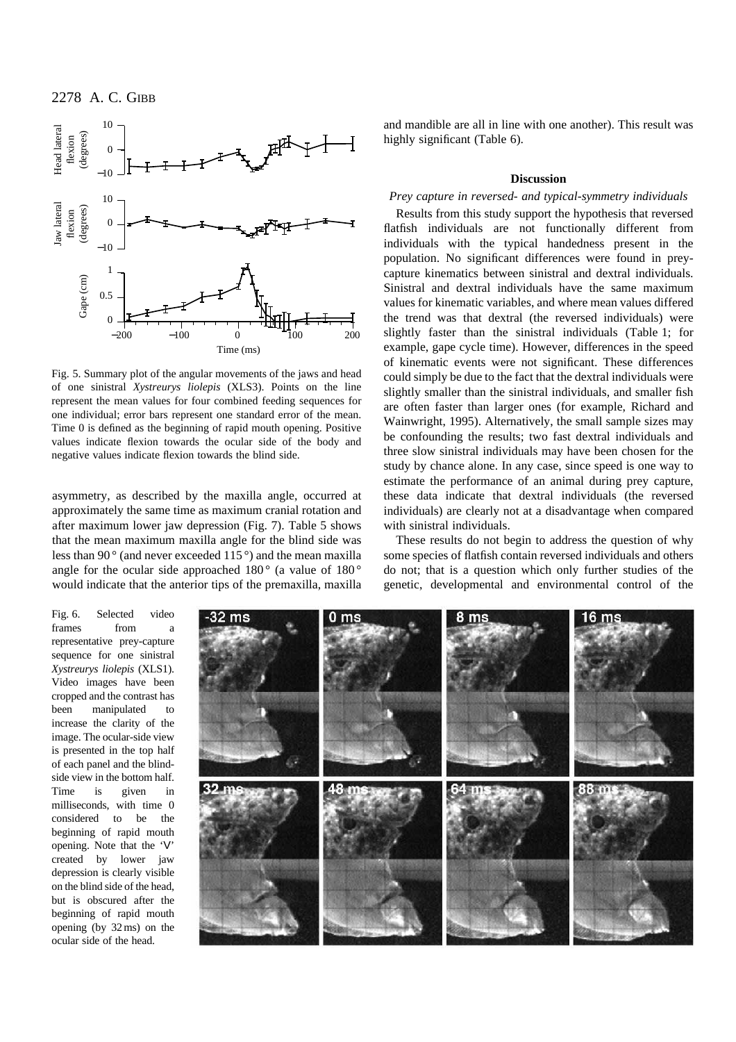

Fig. 5. Summary plot of the angular movements of the jaws and head of one sinistral *Xystreurys liolepis* (XLS3). Points on the line represent the mean values for four combined feeding sequences for one individual; error bars represent one standard error of the mean. Time 0 is defined as the beginning of rapid mouth opening. Positive values indicate flexion towards the ocular side of the body and negative values indicate flexion towards the blind side.

asymmetry, as described by the maxilla angle, occurred at approximately the same time as maximum cranial rotation and after maximum lower jaw depression (Fig. 7). Table 5 shows that the mean maximum maxilla angle for the blind side was less than 90 $\degree$  (and never exceeded 115 $\degree$ ) and the mean maxilla angle for the ocular side approached  $180^{\circ}$  (a value of  $180^{\circ}$ would indicate that the anterior tips of the premaxilla, maxilla and mandible are all in line with one another). This result was highly significant (Table 6).

## **Discussion**

## *Prey capture in reversed- and typical-symmetry individuals*

Results from this study support the hypothesis that reversed flatfish individuals are not functionally different from individuals with the typical handedness present in the population. No significant differences were found in preycapture kinematics between sinistral and dextral individuals. Sinistral and dextral individuals have the same maximum values for kinematic variables, and where mean values differed the trend was that dextral (the reversed individuals) were slightly faster than the sinistral individuals (Table 1; for example, gape cycle time). However, differences in the speed of kinematic events were not significant. These differences could simply be due to the fact that the dextral individuals were slightly smaller than the sinistral individuals, and smaller fish are often faster than larger ones (for example, Richard and Wainwright, 1995). Alternatively, the small sample sizes may be confounding the results; two fast dextral individuals and three slow sinistral individuals may have been chosen for the study by chance alone. In any case, since speed is one way to estimate the performance of an animal during prey capture, these data indicate that dextral individuals (the reversed individuals) are clearly not at a disadvantage when compared with sinistral individuals.

These results do not begin to address the question of why some species of flatfish contain reversed individuals and others do not; that is a question which only further studies of the genetic, developmental and environmental control of the

Fig. 6. Selected video frames from a representative prey-capture sequence for one sinistral *Xystreurys liolepis* (XLS1). Video images have been cropped and the contrast has been manipulated to increase the clarity of the image. The ocular-side view is presented in the top half of each panel and the blindside view in the bottom half. Time is given in milliseconds, with time 0 considered to be the beginning of rapid mouth opening. Note that the 'V' created by lower jaw depression is clearly visible on the blind side of the head, but is obscured after the beginning of rapid mouth opening (by 32 ms) on the ocular side of the head.

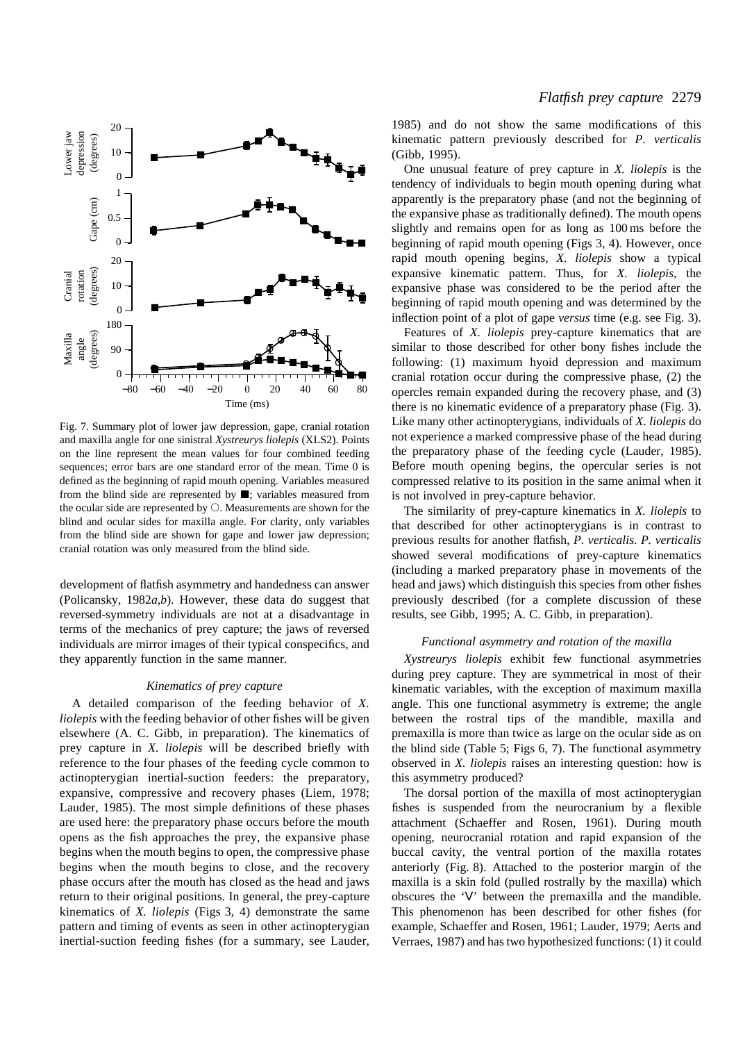

Fig. 7. Summary plot of lower jaw depression, gape, cranial rotation and maxilla angle for one sinistral *Xystreurys liolepis* (XLS2). Points on the line represent the mean values for four combined feeding sequences; error bars are one standard error of the mean. Time 0 is defined as the beginning of rapid mouth opening. Variables measured from the blind side are represented by  $\blacksquare$ ; variables measured from the ocular side are represented by  $\bigcirc$ . Measurements are shown for the blind and ocular sides for maxilla angle. For clarity, only variables from the blind side are shown for gape and lower jaw depression; cranial rotation was only measured from the blind side.

development of flatfish asymmetry and handedness can answer (Policansky, 1982*a*,*b*). However, these data do suggest that reversed-symmetry individuals are not at a disadvantage in terms of the mechanics of prey capture; the jaws of reversed individuals are mirror images of their typical conspecifics, and they apparently function in the same manner.

#### *Kinematics of prey capture*

A detailed comparison of the feeding behavior of *X. liolepis* with the feeding behavior of other fishes will be given elsewhere (A. C. Gibb, in preparation). The kinematics of prey capture in *X. liolepis* will be described briefly with reference to the four phases of the feeding cycle common to actinopterygian inertial-suction feeders: the preparatory, expansive, compressive and recovery phases (Liem, 1978; Lauder, 1985). The most simple definitions of these phases are used here: the preparatory phase occurs before the mouth opens as the fish approaches the prey, the expansive phase begins when the mouth begins to open, the compressive phase begins when the mouth begins to close, and the recovery phase occurs after the mouth has closed as the head and jaws return to their original positions. In general, the prey-capture kinematics of *X. liolepis* (Figs 3, 4) demonstrate the same pattern and timing of events as seen in other actinopterygian inertial-suction feeding fishes (for a summary, see Lauder,

1985) and do not show the same modifications of this kinematic pattern previously described for *P. verticalis* (Gibb, 1995).

One unusual feature of prey capture in *X. liolepis* is the tendency of individuals to begin mouth opening during what apparently is the preparatory phase (and not the beginning of the expansive phase as traditionally defined). The mouth opens slightly and remains open for as long as 100 ms before the beginning of rapid mouth opening (Figs 3, 4). However, once rapid mouth opening begins, *X. liolepis* show a typical expansive kinematic pattern. Thus, for *X. liolepis*, the expansive phase was considered to be the period after the beginning of rapid mouth opening and was determined by the inflection point of a plot of gape *versus* time (e.g. see Fig. 3).

Features of *X. liolepis* prey-capture kinematics that are similar to those described for other bony fishes include the following: (1) maximum hyoid depression and maximum cranial rotation occur during the compressive phase, (2) the opercles remain expanded during the recovery phase, and (3) there is no kinematic evidence of a preparatory phase (Fig. 3). Like many other actinopterygians, individuals of *X. liolepis* do not experience a marked compressive phase of the head during the preparatory phase of the feeding cycle (Lauder, 1985). Before mouth opening begins, the opercular series is not compressed relative to its position in the same animal when it is not involved in prey-capture behavior.

The similarity of prey-capture kinematics in *X. liolepis* to that described for other actinopterygians is in contrast to previous results for another flatfish, *P. verticalis*. *P. verticalis* showed several modifications of prey-capture kinematics (including a marked preparatory phase in movements of the head and jaws) which distinguish this species from other fishes previously described (for a complete discussion of these results, see Gibb, 1995; A. C. Gibb, in preparation).

#### *Functional asymmetry and rotation of the maxilla*

*Xystreurys liolepis* exhibit few functional asymmetries during prey capture. They are symmetrical in most of their kinematic variables, with the exception of maximum maxilla angle. This one functional asymmetry is extreme; the angle between the rostral tips of the mandible, maxilla and premaxilla is more than twice as large on the ocular side as on the blind side (Table 5; Figs 6, 7). The functional asymmetry observed in *X. liolepis* raises an interesting question: how is this asymmetry produced?

The dorsal portion of the maxilla of most actinopterygian fishes is suspended from the neurocranium by a flexible attachment (Schaeffer and Rosen, 1961). During mouth opening, neurocranial rotation and rapid expansion of the buccal cavity, the ventral portion of the maxilla rotates anteriorly (Fig. 8). Attached to the posterior margin of the maxilla is a skin fold (pulled rostrally by the maxilla) which obscures the 'V' between the premaxilla and the mandible. This phenomenon has been described for other fishes (for example, Schaeffer and Rosen, 1961; Lauder, 1979; Aerts and Verraes, 1987) and has two hypothesized functions: (1) it could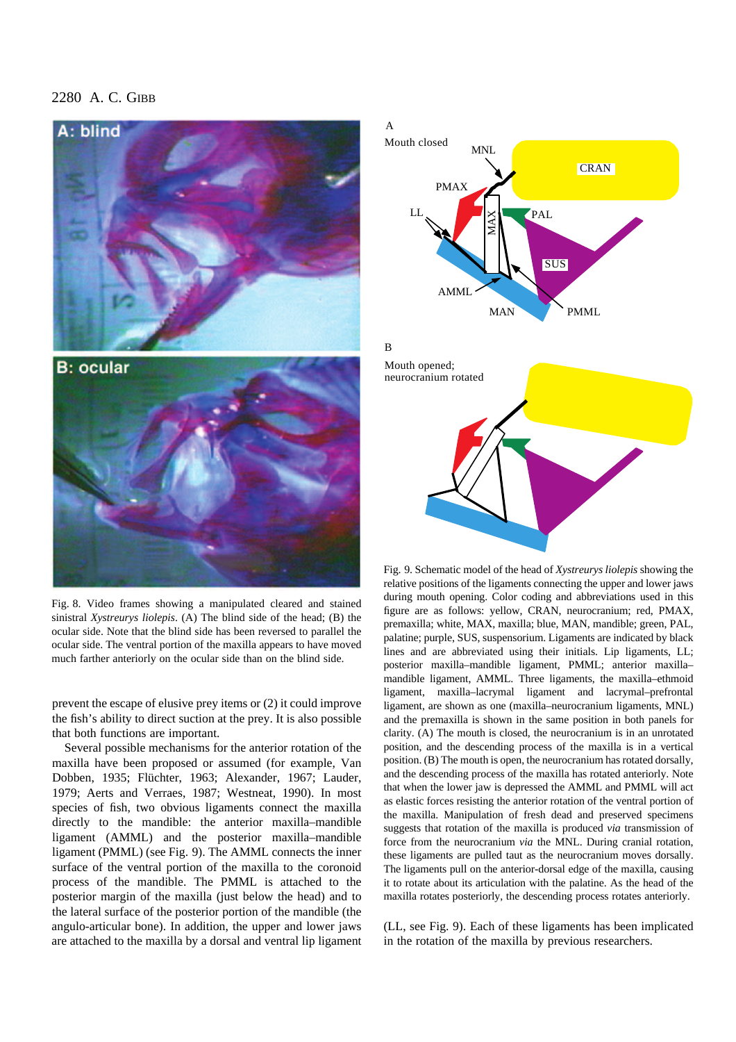

Fig. 8. Video frames showing a manipulated cleared and stained sinistral *Xystreurys liolepis*. (A) The blind side of the head; (B) the ocular side. Note that the blind side has been reversed to parallel the ocular side. The ventral portion of the maxilla appears to have moved much farther anteriorly on the ocular side than on the blind side.

prevent the escape of elusive prey items or (2) it could improve the fish's ability to direct suction at the prey. It is also possible that both functions are important.

Several possible mechanisms for the anterior rotation of the maxilla have been proposed or assumed (for example, Van Dobben, 1935; Flüchter, 1963; Alexander, 1967; Lauder, 1979; Aerts and Verraes, 1987; Westneat, 1990). In most species of fish, two obvious ligaments connect the maxilla directly to the mandible: the anterior maxilla–mandible ligament (AMML) and the posterior maxilla–mandible ligament (PMML) (see Fig. 9). The AMML connects the inner surface of the ventral portion of the maxilla to the coronoid process of the mandible. The PMML is attached to the posterior margin of the maxilla (just below the head) and to the lateral surface of the posterior portion of the mandible (the angulo-articular bone). In addition, the upper and lower jaws are attached to the maxilla by a dorsal and ventral lip ligament

# Mouth closed Mouth opened; neurocranium rotated MNL MAN MAN PMAX **PAL SUS CRAN**  $L_{L}$ PMML AMML A B

Fig. 9. Schematic model of the head of *Xystreurys liolepis* showing the relative positions of the ligaments connecting the upper and lower jaws during mouth opening. Color coding and abbreviations used in this figure are as follows: yellow, CRAN, neurocranium; red, PMAX, premaxilla; white, MAX, maxilla; blue, MAN, mandible; green, PAL, palatine; purple, SUS, suspensorium. Ligaments are indicated by black lines and are abbreviated using their initials. Lip ligaments, LL; posterior maxilla–mandible ligament, PMML; anterior maxilla– mandible ligament, AMML. Three ligaments, the maxilla–ethmoid ligament, maxilla–lacrymal ligament and lacrymal–prefrontal ligament, are shown as one (maxilla–neurocranium ligaments, MNL) and the premaxilla is shown in the same position in both panels for clarity. (A) The mouth is closed, the neurocranium is in an unrotated position, and the descending process of the maxilla is in a vertical position. (B) The mouth is open, the neurocranium has rotated dorsally, and the descending process of the maxilla has rotated anteriorly. Note that when the lower jaw is depressed the AMML and PMML will act as elastic forces resisting the anterior rotation of the ventral portion of the maxilla. Manipulation of fresh dead and preserved specimens suggests that rotation of the maxilla is produced *via* transmission of force from the neurocranium *via* the MNL. During cranial rotation, these ligaments are pulled taut as the neurocranium moves dorsally. The ligaments pull on the anterior-dorsal edge of the maxilla, causing it to rotate about its articulation with the palatine. As the head of the maxilla rotates posteriorly, the descending process rotates anteriorly.

(LL, see Fig. 9). Each of these ligaments has been implicated in the rotation of the maxilla by previous researchers.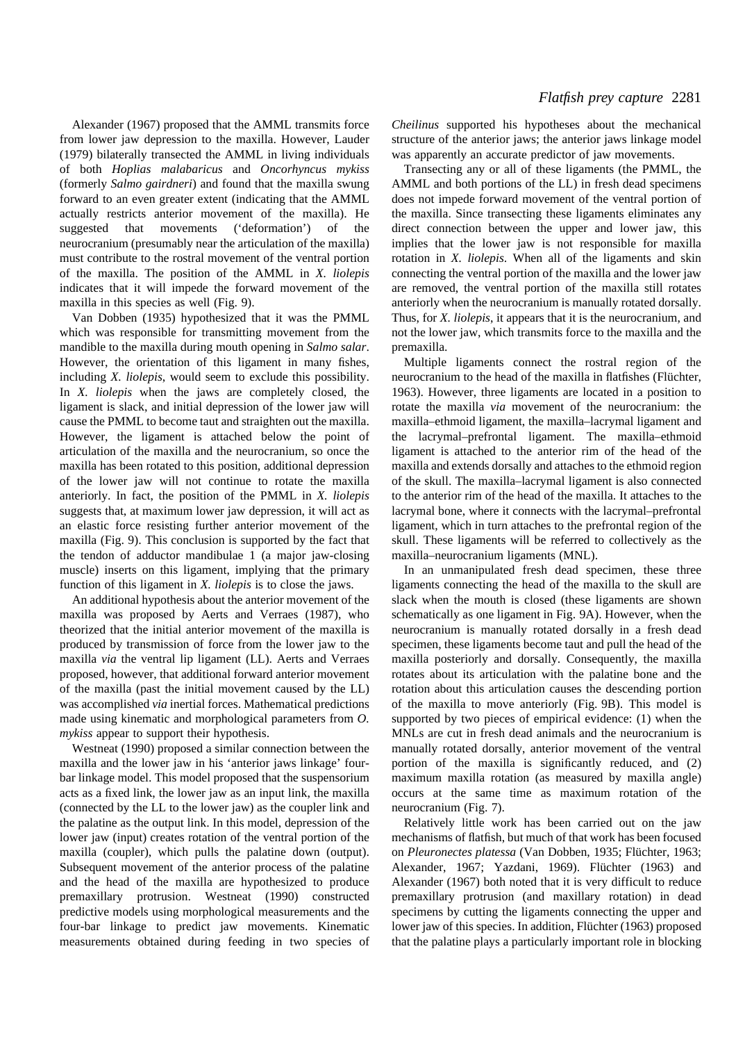Alexander (1967) proposed that the AMML transmits force from lower jaw depression to the maxilla. However, Lauder (1979) bilaterally transected the AMML in living individuals of both *Hoplias malabaricus* and *Oncorhyncus mykiss* (formerly *Salmo gairdneri*) and found that the maxilla swung forward to an even greater extent (indicating that the AMML actually restricts anterior movement of the maxilla). He suggested that movements ('deformation') of the neurocranium (presumably near the articulation of the maxilla) must contribute to the rostral movement of the ventral portion of the maxilla. The position of the AMML in *X. liolepis* indicates that it will impede the forward movement of the maxilla in this species as well (Fig. 9).

Van Dobben (1935) hypothesized that it was the PMML which was responsible for transmitting movement from the mandible to the maxilla during mouth opening in *Salmo salar*. However, the orientation of this ligament in many fishes, including *X. liolepis*, would seem to exclude this possibility. In *X. liolepis* when the jaws are completely closed, the ligament is slack, and initial depression of the lower jaw will cause the PMML to become taut and straighten out the maxilla. However, the ligament is attached below the point of articulation of the maxilla and the neurocranium, so once the maxilla has been rotated to this position, additional depression of the lower jaw will not continue to rotate the maxilla anteriorly. In fact, the position of the PMML in *X. liolepis* suggests that, at maximum lower jaw depression, it will act as an elastic force resisting further anterior movement of the maxilla (Fig. 9). This conclusion is supported by the fact that the tendon of adductor mandibulae 1 (a major jaw-closing muscle) inserts on this ligament, implying that the primary function of this ligament in *X. liolepis* is to close the jaws.

An additional hypothesis about the anterior movement of the maxilla was proposed by Aerts and Verraes (1987), who theorized that the initial anterior movement of the maxilla is produced by transmission of force from the lower jaw to the maxilla *via* the ventral lip ligament (LL). Aerts and Verraes proposed, however, that additional forward anterior movement of the maxilla (past the initial movement caused by the LL) was accomplished *via* inertial forces. Mathematical predictions made using kinematic and morphological parameters from *O. mykiss* appear to support their hypothesis.

Westneat (1990) proposed a similar connection between the maxilla and the lower jaw in his 'anterior jaws linkage' fourbar linkage model. This model proposed that the suspensorium acts as a fixed link, the lower jaw as an input link, the maxilla (connected by the LL to the lower jaw) as the coupler link and the palatine as the output link. In this model, depression of the lower jaw (input) creates rotation of the ventral portion of the maxilla (coupler), which pulls the palatine down (output). Subsequent movement of the anterior process of the palatine and the head of the maxilla are hypothesized to produce premaxillary protrusion. Westneat (1990) constructed predictive models using morphological measurements and the four-bar linkage to predict jaw movements. Kinematic measurements obtained during feeding in two species of

*Cheilinus* supported his hypotheses about the mechanical structure of the anterior jaws; the anterior jaws linkage model was apparently an accurate predictor of jaw movements.

Transecting any or all of these ligaments (the PMML, the AMML and both portions of the LL) in fresh dead specimens does not impede forward movement of the ventral portion of the maxilla. Since transecting these ligaments eliminates any direct connection between the upper and lower jaw, this implies that the lower jaw is not responsible for maxilla rotation in *X. liolepis*. When all of the ligaments and skin connecting the ventral portion of the maxilla and the lower jaw are removed, the ventral portion of the maxilla still rotates anteriorly when the neurocranium is manually rotated dorsally. Thus, for *X. liolepis*, it appears that it is the neurocranium, and not the lower jaw, which transmits force to the maxilla and the premaxilla.

Multiple ligaments connect the rostral region of the neurocranium to the head of the maxilla in flatfishes (Flüchter, 1963). However, three ligaments are located in a position to rotate the maxilla *via* movement of the neurocranium: the maxilla–ethmoid ligament, the maxilla–lacrymal ligament and the lacrymal–prefrontal ligament. The maxilla–ethmoid ligament is attached to the anterior rim of the head of the maxilla and extends dorsally and attaches to the ethmoid region of the skull. The maxilla–lacrymal ligament is also connected to the anterior rim of the head of the maxilla. It attaches to the lacrymal bone, where it connects with the lacrymal–prefrontal ligament, which in turn attaches to the prefrontal region of the skull. These ligaments will be referred to collectively as the maxilla–neurocranium ligaments (MNL).

In an unmanipulated fresh dead specimen, these three ligaments connecting the head of the maxilla to the skull are slack when the mouth is closed (these ligaments are shown schematically as one ligament in Fig. 9A). However, when the neurocranium is manually rotated dorsally in a fresh dead specimen, these ligaments become taut and pull the head of the maxilla posteriorly and dorsally. Consequently, the maxilla rotates about its articulation with the palatine bone and the rotation about this articulation causes the descending portion of the maxilla to move anteriorly (Fig. 9B). This model is supported by two pieces of empirical evidence: (1) when the MNLs are cut in fresh dead animals and the neurocranium is manually rotated dorsally, anterior movement of the ventral portion of the maxilla is significantly reduced, and (2) maximum maxilla rotation (as measured by maxilla angle) occurs at the same time as maximum rotation of the neurocranium (Fig. 7).

Relatively little work has been carried out on the jaw mechanisms of flatfish, but much of that work has been focused on *Pleuronectes platessa* (Van Dobben, 1935; Flüchter, 1963; Alexander, 1967; Yazdani, 1969). Flüchter (1963) and Alexander (1967) both noted that it is very difficult to reduce premaxillary protrusion (and maxillary rotation) in dead specimens by cutting the ligaments connecting the upper and lower jaw of this species. In addition, Flüchter (1963) proposed that the palatine plays a particularly important role in blocking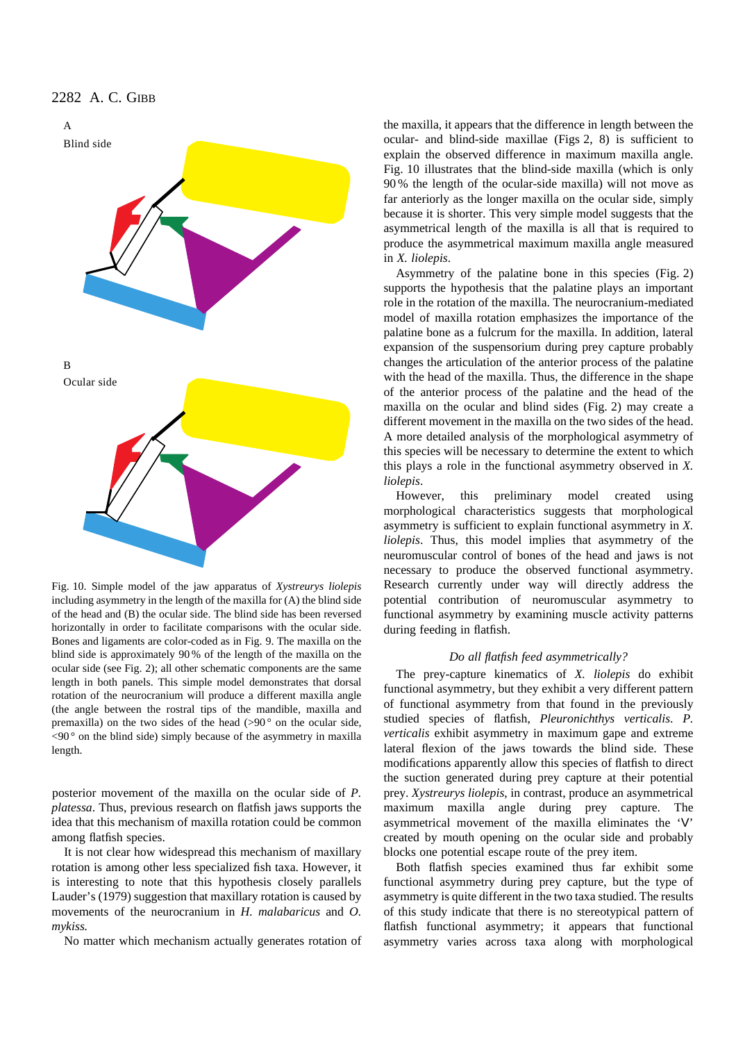

Fig. 10. Simple model of the jaw apparatus of *Xystreurys liolepis* including asymmetry in the length of the maxilla for (A) the blind side of the head and (B) the ocular side. The blind side has been reversed horizontally in order to facilitate comparisons with the ocular side. Bones and ligaments are color-coded as in Fig. 9. The maxilla on the blind side is approximately 90 % of the length of the maxilla on the ocular side (see Fig. 2); all other schematic components are the same length in both panels. This simple model demonstrates that dorsal rotation of the neurocranium will produce a different maxilla angle (the angle between the rostral tips of the mandible, maxilla and premaxilla) on the two sides of the head  $(>90°)$  on the ocular side,  $\langle 90^\circ$  on the blind side) simply because of the asymmetry in maxilla length.

posterior movement of the maxilla on the ocular side of *P. platessa*. Thus, previous research on flatfish jaws supports the idea that this mechanism of maxilla rotation could be common among flatfish species.

It is not clear how widespread this mechanism of maxillary rotation is among other less specialized fish taxa. However, it is interesting to note that this hypothesis closely parallels Lauder's (1979) suggestion that maxillary rotation is caused by movements of the neurocranium in *H. malabaricus* and *O. mykiss.*

No matter which mechanism actually generates rotation of

the maxilla, it appears that the difference in length between the ocular- and blind-side maxillae (Figs 2, 8) is sufficient to explain the observed difference in maximum maxilla angle. Fig. 10 illustrates that the blind-side maxilla (which is only 90 % the length of the ocular-side maxilla) will not move as far anteriorly as the longer maxilla on the ocular side, simply because it is shorter. This very simple model suggests that the asymmetrical length of the maxilla is all that is required to produce the asymmetrical maximum maxilla angle measured in *X. liolepis*.

Asymmetry of the palatine bone in this species (Fig. 2) supports the hypothesis that the palatine plays an important role in the rotation of the maxilla. The neurocranium-mediated model of maxilla rotation emphasizes the importance of the palatine bone as a fulcrum for the maxilla. In addition, lateral expansion of the suspensorium during prey capture probably changes the articulation of the anterior process of the palatine with the head of the maxilla. Thus, the difference in the shape of the anterior process of the palatine and the head of the maxilla on the ocular and blind sides (Fig. 2) may create a different movement in the maxilla on the two sides of the head. A more detailed analysis of the morphological asymmetry of this species will be necessary to determine the extent to which this plays a role in the functional asymmetry observed in *X. liolepis*.

However, this preliminary model created using morphological characteristics suggests that morphological asymmetry is sufficient to explain functional asymmetry in *X. liolepis*. Thus, this model implies that asymmetry of the neuromuscular control of bones of the head and jaws is not necessary to produce the observed functional asymmetry. Research currently under way will directly address the potential contribution of neuromuscular asymmetry to functional asymmetry by examining muscle activity patterns during feeding in flatfish.

## *Do all flatfish feed asymmetrically?*

The prey-capture kinematics of *X. liolepis* do exhibit functional asymmetry, but they exhibit a very different pattern of functional asymmetry from that found in the previously studied species of flatfish, *Pleuronichthys verticalis*. *P. verticalis* exhibit asymmetry in maximum gape and extreme lateral flexion of the jaws towards the blind side. These modifications apparently allow this species of flatfish to direct the suction generated during prey capture at their potential prey. *Xystreurys liolepis*, in contrast, produce an asymmetrical maximum maxilla angle during prey capture. The asymmetrical movement of the maxilla eliminates the 'V' created by mouth opening on the ocular side and probably blocks one potential escape route of the prey item.

Both flatfish species examined thus far exhibit some functional asymmetry during prey capture, but the type of asymmetry is quite different in the two taxa studied. The results of this study indicate that there is no stereotypical pattern of flatfish functional asymmetry; it appears that functional asymmetry varies across taxa along with morphological